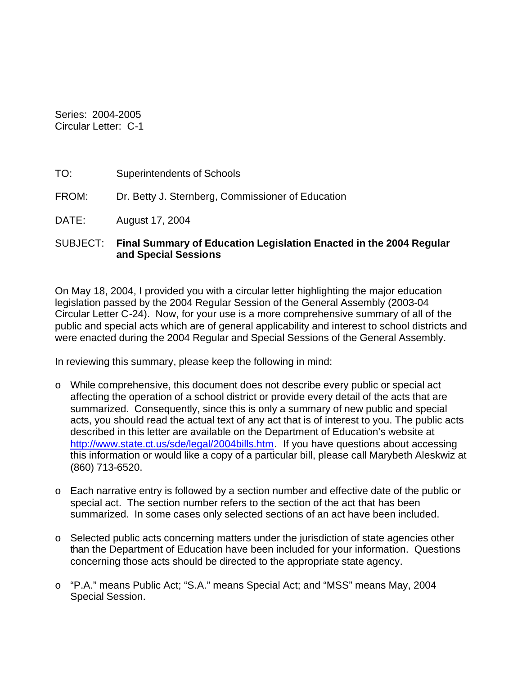Series: 2004-2005 Circular Letter: C-1

- TO: Superintendents of Schools
- FROM: Dr. Betty J. Sternberg, Commissioner of Education
- DATE: August 17, 2004

#### SUBJECT: **Final Summary of Education Legislation Enacted in the 2004 Regular and Special Sessions**

On May 18, 2004, I provided you with a circular letter highlighting the major education legislation passed by the 2004 Regular Session of the General Assembly (2003-04 Circular Letter C-24). Now, for your use is a more comprehensive summary of all of the public and special acts which are of general applicability and interest to school districts and were enacted during the 2004 Regular and Special Sessions of the General Assembly.

In reviewing this summary, please keep the following in mind:

- o While comprehensive, this document does not describe every public or special act affecting the operation of a school district or provide every detail of the acts that are summarized. Consequently, since this is only a summary of new public and special acts, you should read the actual text of any act that is of interest to you. The public acts described in this letter are available on the Department of Education's website at http://www.state.ct.us/sde/legal/2004bills.htm. If you have questions about accessing this information or would like a copy of a particular bill, please call Marybeth Aleskwiz at (860) 713-6520.
- o Each narrative entry is followed by a section number and effective date of the public or special act. The section number refers to the section of the act that has been summarized. In some cases only selected sections of an act have been included.
- o Selected public acts concerning matters under the jurisdiction of state agencies other than the Department of Education have been included for your information. Questions concerning those acts should be directed to the appropriate state agency.
- o "P.A." means Public Act; "S.A." means Special Act; and "MSS" means May, 2004 Special Session.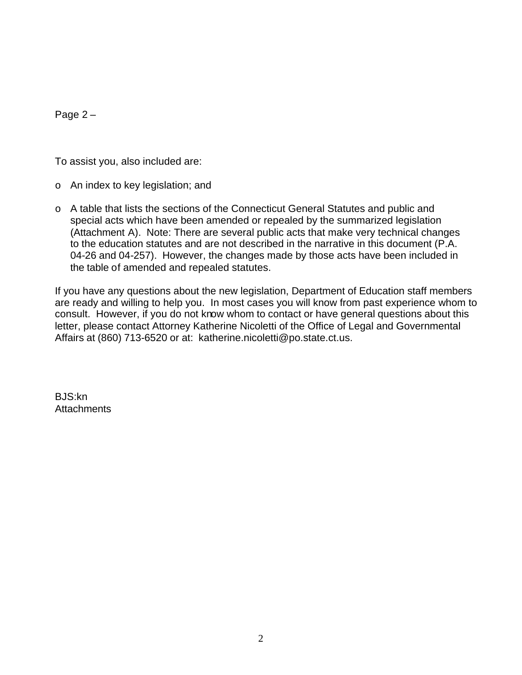Page 2 –

To assist you, also included are:

- o An index to key legislation; and
- o A table that lists the sections of the Connecticut General Statutes and public and special acts which have been amended or repealed by the summarized legislation (Attachment A). Note: There are several public acts that make very technical changes to the education statutes and are not described in the narrative in this document (P.A. 04-26 and 04-257). However, the changes made by those acts have been included in the table of amended and repealed statutes.

If you have any questions about the new legislation, Department of Education staff members are ready and willing to help you. In most cases you will know from past experience whom to consult. However, if you do not know whom to contact or have general questions about this letter, please contact Attorney Katherine Nicoletti of the Office of Legal and Governmental Affairs at (860) 713-6520 or at: katherine.nicoletti@po.state.ct.us.

BJS:kn **Attachments**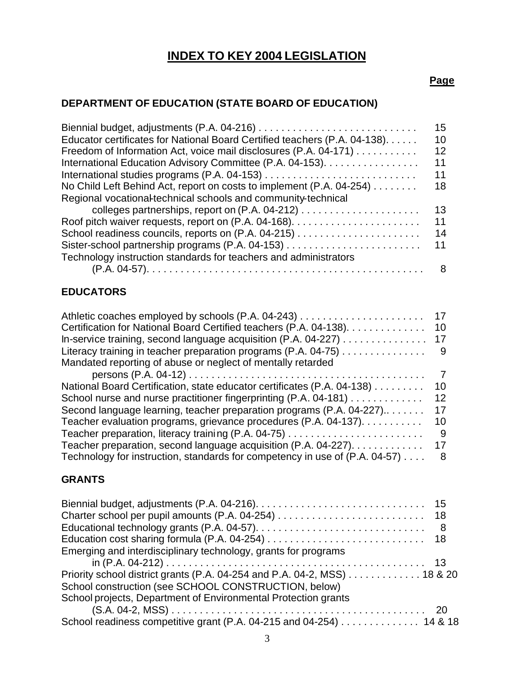# **INDEX TO KEY 2004 LEGISLATION**

#### **Page**

# **DEPARTMENT OF EDUCATION (STATE BOARD OF EDUCATION)**

|                                                                            | 15 |
|----------------------------------------------------------------------------|----|
| Educator certificates for National Board Certified teachers (P.A. 04-138). | 10 |
| Freedom of Information Act, voice mail disclosures (P.A. 04-171)           | 12 |
| International Education Advisory Committee (P.A. 04-153).                  | 11 |
|                                                                            | 11 |
| No Child Left Behind Act, report on costs to implement (P.A. 04-254)       | 18 |
| Regional vocational-technical schools and community-technical              |    |
|                                                                            | 13 |
|                                                                            | 11 |
|                                                                            | 14 |
|                                                                            | 11 |
| Technology instruction standards for teachers and administrators           |    |
|                                                                            | 8  |
|                                                                            |    |

# **EDUCATORS**

| Athletic coaches employed by schools (P.A. 04-243)                          | 17              |
|-----------------------------------------------------------------------------|-----------------|
| Certification for National Board Certified teachers (P.A. 04-138).          | 10              |
| In-service training, second language acquisition (P.A. 04-227)              | 17              |
| Literacy training in teacher preparation programs $(P.A. 04-75)$            | 9               |
| Mandated reporting of abuse or neglect of mentally retarded                 |                 |
|                                                                             | 7               |
| National Board Certification, state educator certificates (P.A. 04-138)     | 10.             |
| School nurse and nurse practitioner fingerprinting (P.A. 04-181)            | 12 <sup>°</sup> |
| Second language learning, teacher preparation programs $(P.A. 04-227)$      | 17              |
| Teacher evaluation programs, grievance procedures (P.A. 04-137).            | 10              |
|                                                                             | 9               |
| Teacher preparation, second language acquisition $(P.A. 04-227)$            | 17              |
| Technology for instruction, standards for competency in use of (P.A. 04-57) | 8               |

# **GRANTS**

|                                                                                                        | - 8 |
|--------------------------------------------------------------------------------------------------------|-----|
|                                                                                                        |     |
| Emerging and interdisciplinary technology, grants for programs                                         |     |
|                                                                                                        |     |
| Priority school district grants (P.A. 04-254 and P.A. 04-2, MSS) $\ldots \ldots \ldots \ldots$ 18 & 20 |     |
| School construction (see SCHOOL CONSTRUCTION, below)                                                   |     |
| School projects, Department of Environmental Protection grants                                         |     |
|                                                                                                        |     |
| School readiness competitive grant (P.A. 04-215 and 04-254) 14 & 18                                    |     |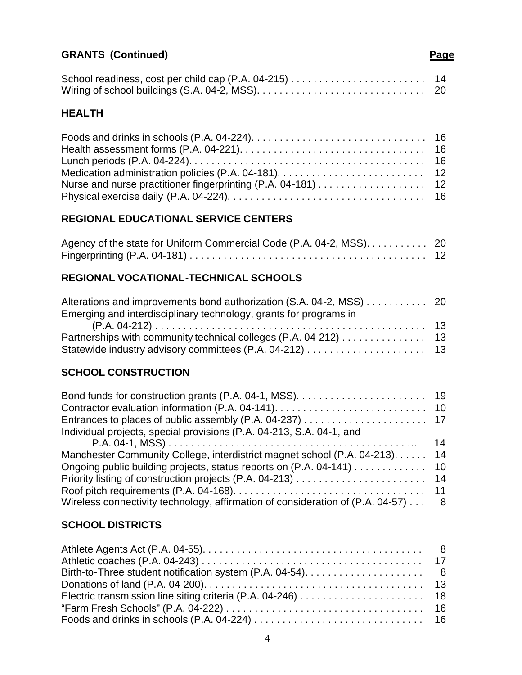# **GRANTS (Continued) Page 19th Continued Page 20th Continued Page 20th Continued Page**

# **HEALTH**

# **REGIONAL EDUCATIONAL SERVICE CENTERS**

| Agency of the state for Uniform Commercial Code (P.A. 04-2, MSS). 20 |  |
|----------------------------------------------------------------------|--|
|                                                                      |  |

# **REGIONAL VOCATIONAL-TECHNICAL SCHOOLS**

| Alterations and improvements bond authorization (S.A. 04-2, MSS) 20 |  |
|---------------------------------------------------------------------|--|
| Emerging and interdisciplinary technology, grants for programs in   |  |
|                                                                     |  |
| Partnerships with community-technical colleges (P.A. 04-212) 13     |  |
|                                                                     |  |

# **SCHOOL CONSTRUCTION**

| Individual projects, special provisions (P.A. 04-213, S.A. 04-1, and             |  |
|----------------------------------------------------------------------------------|--|
|                                                                                  |  |
| Manchester Community College, interdistrict magnet school (P.A. 04-213) 14       |  |
| Ongoing public building projects, status reports on (P.A. 04-141) 10             |  |
|                                                                                  |  |
|                                                                                  |  |
| Wireless connectivity technology, affirmation of consideration of (P.A. 04-57) 8 |  |

# **SCHOOL DISTRICTS**

| "Farm Fresh Schools" (P.A. 04-222) $\dots\dots\dots\dots\dots\dots\dots\dots\dots\dots\dots\dots\dots\dots\dots\dots$ |  |
|-----------------------------------------------------------------------------------------------------------------------|--|
|                                                                                                                       |  |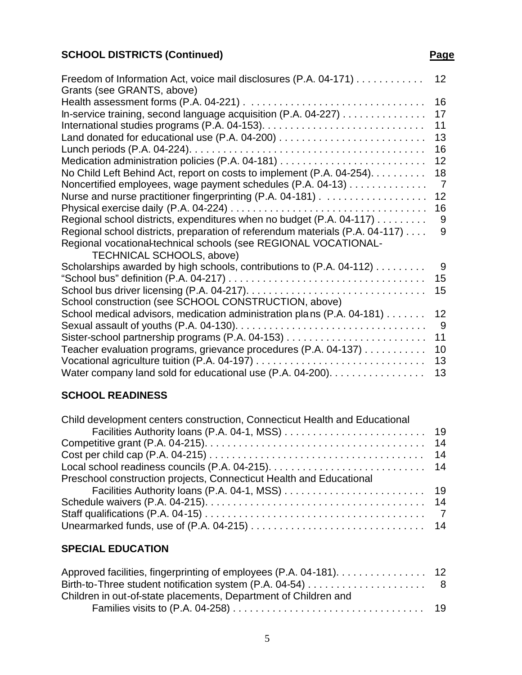# **SCHOOL DISTRICTS (Continued) Page**

| Freedom of Information Act, voice mail disclosures (P.A. 04-171)             | 12             |
|------------------------------------------------------------------------------|----------------|
| Grants (see GRANTS, above)                                                   |                |
|                                                                              | 16             |
| In-service training, second language acquisition (P.A. 04-227)               | 17             |
|                                                                              | 11             |
|                                                                              | 13             |
|                                                                              | 16             |
|                                                                              | 12             |
| No Child Left Behind Act, report on costs to implement (P.A. 04-254).        | 18             |
| Noncertified employees, wage payment schedules (P.A. 04-13)                  | $\overline{7}$ |
|                                                                              | 12             |
|                                                                              | 16             |
| Regional school districts, expenditures when no budget (P.A. 04-117)         | 9              |
| Regional school districts, preparation of referendum materials (P.A. 04-117) | 9              |
| Regional vocational-technical schools (see REGIONAL VOCATIONAL-              |                |
| <b>TECHNICAL SCHOOLS, above)</b>                                             |                |
| Scholarships awarded by high schools, contributions to (P.A. 04-112)         | 9              |
|                                                                              | 15             |
|                                                                              |                |
|                                                                              | 15             |
| School construction (see SCHOOL CONSTRUCTION, above)                         |                |
| School medical advisors, medication administration plans (P.A. 04-181)       | 12             |
|                                                                              | 9              |
|                                                                              | 11             |
| Teacher evaluation programs, grievance procedures (P.A. 04-137)              | 10             |
| Vocational agriculture tuition (P.A. 04-197) $\ldots$                        | 13             |
| Water company land sold for educational use (P.A. 04-200).                   | 13             |

# **SCHOOL READINESS**

| Child development centers construction, Connecticut Health and Educational |  |
|----------------------------------------------------------------------------|--|
|                                                                            |  |
|                                                                            |  |
|                                                                            |  |
|                                                                            |  |
| Preschool construction projects, Connecticut Health and Educational        |  |
|                                                                            |  |
|                                                                            |  |
|                                                                            |  |
|                                                                            |  |

# **SPECIAL EDUCATION**

| Approved facilities, fingerprinting of employees (P.A. 04-181). 12 |  |
|--------------------------------------------------------------------|--|
|                                                                    |  |
| Children in out-of-state placements, Department of Children and    |  |
|                                                                    |  |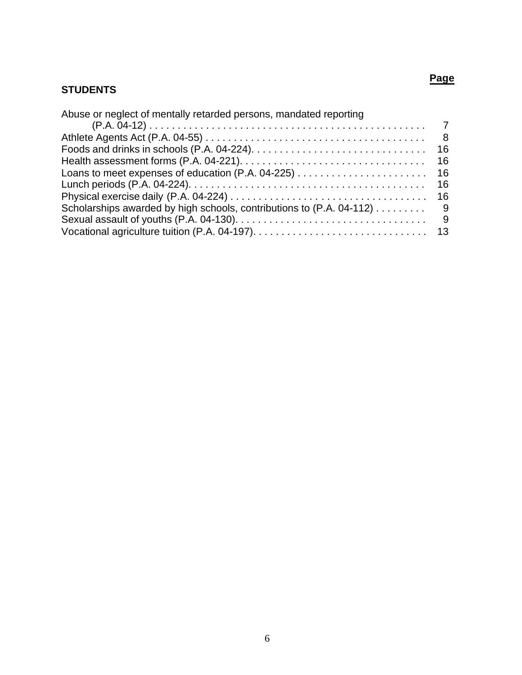# **STUDENTS**

| -8  |
|-----|
|     |
| -16 |
|     |
| -16 |
|     |
| -9  |
| - 9 |
|     |
|     |

**Page**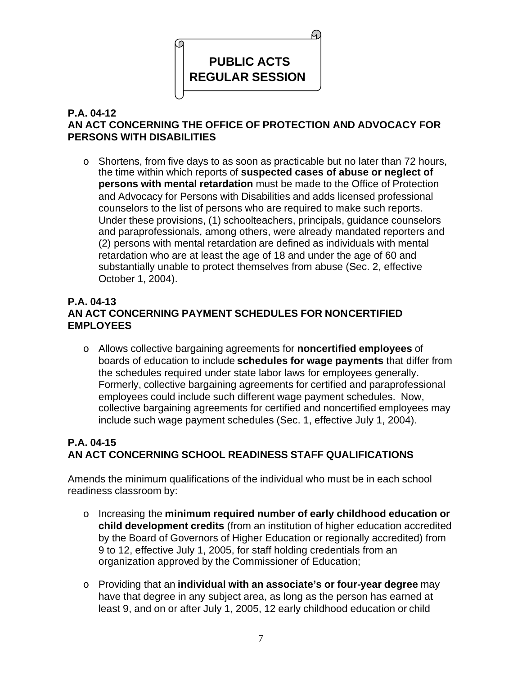

# **P.A. 04-12 AN ACT CONCERNING THE OFFICE OF PROTECTION AND ADVOCACY FOR PERSONS WITH DISABILITIES**

o Shortens, from five days to as soon as practicable but no later than 72 hours, the time within which reports of **suspected cases of abuse or neglect of persons with mental retardation** must be made to the Office of Protection and Advocacy for Persons with Disabilities and adds licensed professional counselors to the list of persons who are required to make such reports. Under these provisions, (1) schoolteachers, principals, guidance counselors and paraprofessionals, among others, were already mandated reporters and (2) persons with mental retardation are defined as individuals with mental retardation who are at least the age of 18 and under the age of 60 and substantially unable to protect themselves from abuse (Sec. 2, effective October 1, 2004).

#### **P.A. 04-13 AN ACT CONCERNING PAYMENT SCHEDULES FOR NONCERTIFIED EMPLOYEES**

o Allows collective bargaining agreements for **noncertified employees** of boards of education to include **schedules for wage payments** that differ from the schedules required under state labor laws for employees generally. Formerly, collective bargaining agreements for certified and paraprofessional employees could include such different wage payment schedules. Now, collective bargaining agreements for certified and noncertified employees may include such wage payment schedules (Sec. 1, effective July 1, 2004).

# **P.A. 04-15 AN ACT CONCERNING SCHOOL READINESS STAFF QUALIFICATIONS**

Amends the minimum qualifications of the individual who must be in each school readiness classroom by:

- o Increasing the **minimum required number of early childhood education or child development credits** (from an institution of higher education accredited by the Board of Governors of Higher Education or regionally accredited) from 9 to 12, effective July 1, 2005, for staff holding credentials from an organization approved by the Commissioner of Education;
- o Providing that an **individual with an associate's or four-year degree** may have that degree in any subject area, as long as the person has earned at least 9, and on or after July 1, 2005, 12 early childhood education or child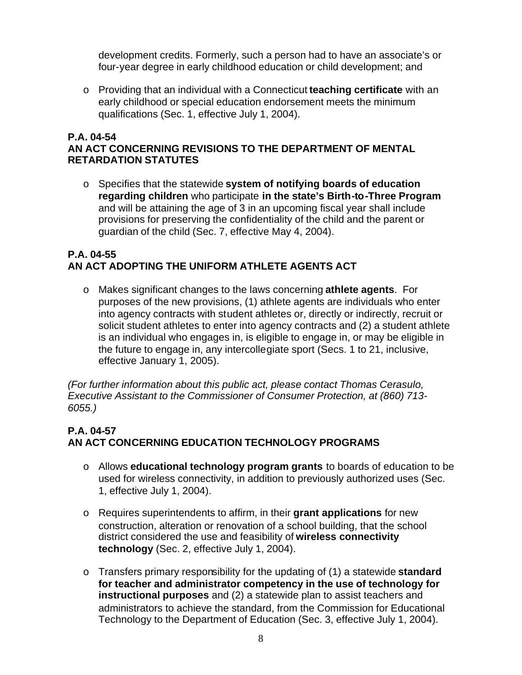development credits. Formerly, such a person had to have an associate's or four-year degree in early childhood education or child development; and

o Providing that an individual with a Connecticut **teaching certificate** with an early childhood or special education endorsement meets the minimum qualifications (Sec. 1, effective July 1, 2004).

#### **P.A. 04-54 AN ACT CONCERNING REVISIONS TO THE DEPARTMENT OF MENTAL RETARDATION STATUTES**

o Specifies that the statewide **system of notifying boards of education regarding children** who participate **in the state's Birth-to-Three Program**  and will be attaining the age of 3 in an upcoming fiscal year shall include provisions for preserving the confidentiality of the child and the parent or guardian of the child (Sec. 7, effective May 4, 2004).

### **P.A. 04-55 AN ACT ADOPTING THE UNIFORM ATHLETE AGENTS ACT**

o Makes significant changes to the laws concerning **athlete agents**. For purposes of the new provisions, (1) athlete agents are individuals who enter into agency contracts with student athletes or, directly or indirectly, recruit or solicit student athletes to enter into agency contracts and (2) a student athlete is an individual who engages in, is eligible to engage in, or may be eligible in the future to engage in, any intercollegiate sport (Secs. 1 to 21, inclusive, effective January 1, 2005).

*(For further information about this public act, please contact Thomas Cerasulo, Executive Assistant to the Commissioner of Consumer Protection, at (860) 713- 6055.)* 

# **P.A. 04-57 AN ACT CONCERNING EDUCATION TECHNOLOGY PROGRAMS**

- o Allows **educational technology program grants** to boards of education to be used for wireless connectivity, in addition to previously authorized uses (Sec. 1, effective July 1, 2004).
- o Requires superintendents to affirm, in their **grant applications** for new construction, alteration or renovation of a school building, that the school district considered the use and feasibility of **wireless connectivity technology** (Sec. 2, effective July 1, 2004).
- o Transfers primary responsibility for the updating of (1) a statewide **standard for teacher and administrator competency in the use of technology for instructional purposes** and (2) a statewide plan to assist teachers and administrators to achieve the standard, from the Commission for Educational Technology to the Department of Education (Sec. 3, effective July 1, 2004).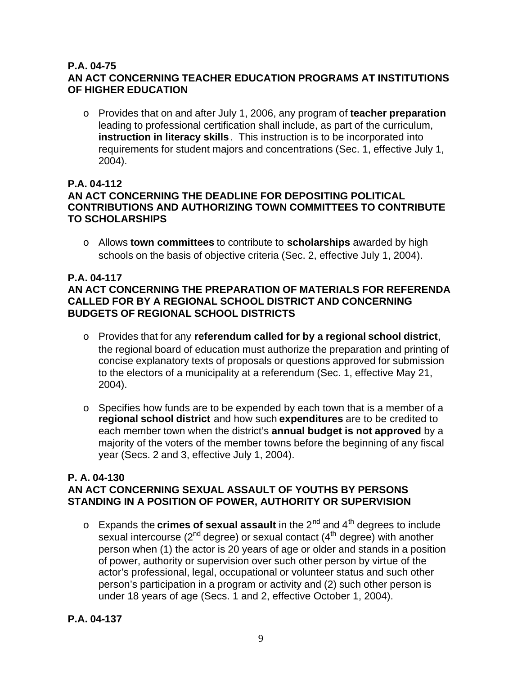#### **P.A. 04-75 AN ACT CONCERNING TEACHER EDUCATION PROGRAMS AT INSTITUTIONS OF HIGHER EDUCATION**

o Provides that on and after July 1, 2006, any program of **teacher preparation**  leading to professional certification shall include, as part of the curriculum, **instruction in literacy skills** . This instruction is to be incorporated into requirements for student majors and concentrations (Sec. 1, effective July 1, 2004).

# **P.A. 04-112**

# **AN ACT CONCERNING THE DEADLINE FOR DEPOSITING POLITICAL CONTRIBUTIONS AND AUTHORIZING TOWN COMMITTEES TO CONTRIBUTE TO SCHOLARSHIPS**

o Allows **town committees** to contribute to **scholarships** awarded by high schools on the basis of objective criteria (Sec. 2, effective July 1, 2004).

# **P.A. 04-117**

# **AN ACT CONCERNING THE PREPARATION OF MATERIALS FOR REFERENDA CALLED FOR BY A REGIONAL SCHOOL DISTRICT AND CONCERNING BUDGETS OF REGIONAL SCHOOL DISTRICTS**

- o Provides that for any **referendum called for by a regional school district**, the regional board of education must authorize the preparation and printing of concise explanatory texts of proposals or questions approved for submission to the electors of a municipality at a referendum (Sec. 1, effective May 21, 2004).
- o Specifies how funds are to be expended by each town that is a member of a **regional school district** and how such **expenditures** are to be credited to each member town when the district's **annual budget is not approved** by a majority of the voters of the member towns before the beginning of any fiscal year (Secs. 2 and 3, effective July 1, 2004).

#### **P. A. 04-130 AN ACT CONCERNING SEXUAL ASSAULT OF YOUTHS BY PERSONS STANDING IN A POSITION OF POWER, AUTHORITY OR SUPERVISION**

o Expands the **crimes of sexual assault** in the 2<sup>nd</sup> and 4<sup>th</sup> degrees to include sexual intercourse ( $2^{nd}$  degree) or sexual contact ( $4^{th}$  degree) with another person when (1) the actor is 20 years of age or older and stands in a position of power, authority or supervision over such other person by virtue of the actor's professional, legal, occupational or volunteer status and such other person's participation in a program or activity and (2) such other person is under 18 years of age (Secs. 1 and 2, effective October 1, 2004).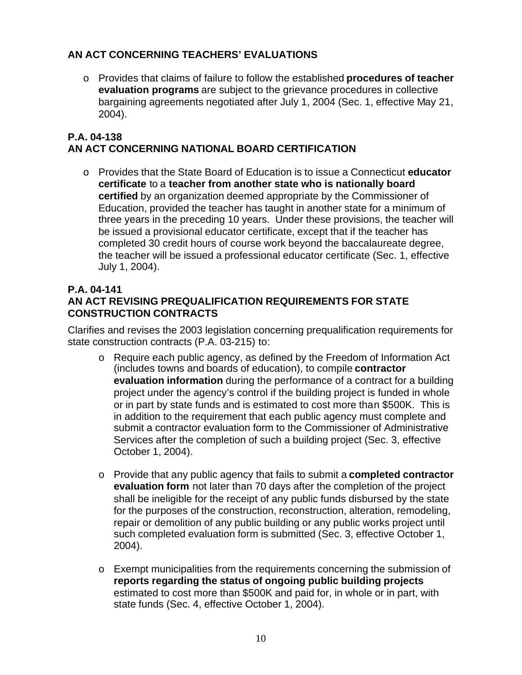# **AN ACT CONCERNING TEACHERS' EVALUATIONS**

o Provides that claims of failure to follow the established **procedures of teacher evaluation programs** are subject to the grievance procedures in collective bargaining agreements negotiated after July 1, 2004 (Sec. 1, effective May 21, 2004).

#### **P.A. 04-138 AN ACT CONCERNING NATIONAL BOARD CERTIFICATION**

o Provides that the State Board of Education is to issue a Connecticut **educator certificate** to a **teacher from another state who is nationally board certified** by an organization deemed appropriate by the Commissioner of Education, provided the teacher has taught in another state for a minimum of three years in the preceding 10 years. Under these provisions, the teacher will be issued a provisional educator certificate, except that if the teacher has completed 30 credit hours of course work beyond the baccalaureate degree, the teacher will be issued a professional educator certificate (Sec. 1, effective July 1, 2004).

# **P.A. 04-141 AN ACT REVISING PREQUALIFICATION REQUIREMENTS FOR STATE CONSTRUCTION CONTRACTS**

Clarifies and revises the 2003 legislation concerning prequalification requirements for state construction contracts (P.A. 03-215) to:

- o Require each public agency, as defined by the Freedom of Information Act (includes towns and boards of education), to compile **contractor evaluation information** during the performance of a contract for a building project under the agency's control if the building project is funded in whole or in part by state funds and is estimated to cost more than \$500K. This is in addition to the requirement that each public agency must complete and submit a contractor evaluation form to the Commissioner of Administrative Services after the completion of such a building project (Sec. 3, effective October 1, 2004).
- o Provide that any public agency that fails to submit a **completed contractor evaluation form** not later than 70 days after the completion of the project shall be ineligible for the receipt of any public funds disbursed by the state for the purposes of the construction, reconstruction, alteration, remodeling, repair or demolition of any public building or any public works project until such completed evaluation form is submitted (Sec. 3, effective October 1, 2004).
- $\circ$  Exempt municipalities from the requirements concerning the submission of **reports regarding the status of ongoing public building projects**  estimated to cost more than \$500K and paid for, in whole or in part, with state funds (Sec. 4, effective October 1, 2004).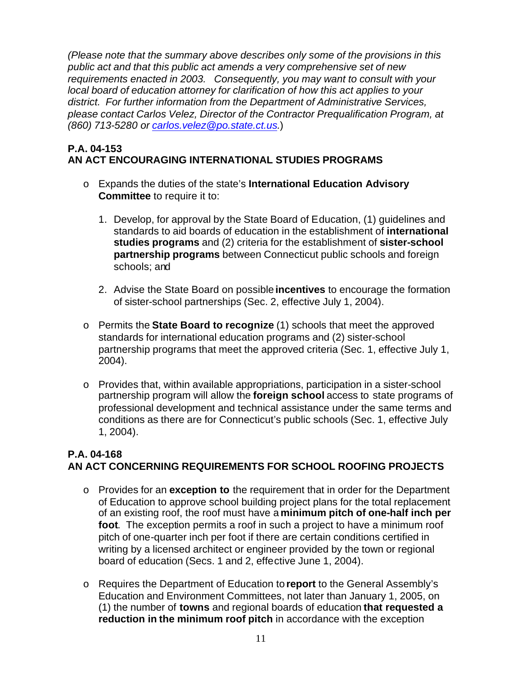*(Please note that the summary above describes only some of the provisions in this public act and that this public act amends a very comprehensive set of new requirements enacted in 2003. Consequently, you may want to consult with your local board of education attorney for clarification of how this act applies to your district. For further information from the Department of Administrative Services, please contact Carlos Velez, Director of the Contractor Prequalification Program, at (860) 713-5280 or carlos.velez@po.state.ct.us.*)

### **P.A. 04-153 AN ACT ENCOURAGING INTERNATIONAL STUDIES PROGRAMS**

- o Expands the duties of the state's **International Education Advisory Committee** to require it to:
	- 1. Develop, for approval by the State Board of Education, (1) guidelines and standards to aid boards of education in the establishment of **international studies programs** and (2) criteria for the establishment of **sister-school partnership programs** between Connecticut public schools and foreign schools; and
	- 2. Advise the State Board on possible **incentives** to encourage the formation of sister-school partnerships (Sec. 2, effective July 1, 2004).
- o Permits the **State Board to recognize** (1) schools that meet the approved standards for international education programs and (2) sister-school partnership programs that meet the approved criteria (Sec. 1, effective July 1, 2004).
- o Provides that, within available appropriations, participation in a sister-school partnership program will allow the **foreign school** access to state programs of professional development and technical assistance under the same terms and conditions as there are for Connecticut's public schools (Sec. 1, effective July 1, 2004).

#### **P.A. 04-168 AN ACT CONCERNING REQUIREMENTS FOR SCHOOL ROOFING PROJECTS**

- o Provides for an **exception to** the requirement that in order for the Department of Education to approve school building project plans for the total replacement of an existing roof, the roof must have a **minimum pitch of one-half inch per foot**. The exception permits a roof in such a project to have a minimum roof pitch of one-quarter inch per foot if there are certain conditions certified in writing by a licensed architect or engineer provided by the town or regional board of education (Secs. 1 and 2, effective June 1, 2004).
- o Requires the Department of Education to **report** to the General Assembly's Education and Environment Committees, not later than January 1, 2005, on (1) the number of **towns** and regional boards of education **that requested a reduction in the minimum roof pitch** in accordance with the exception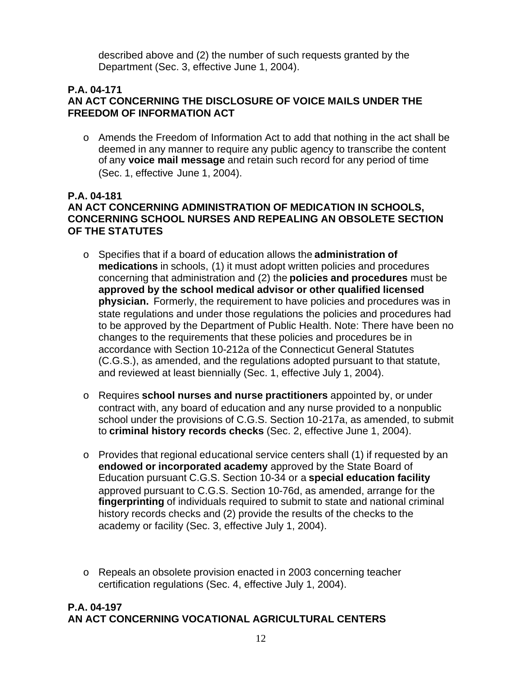described above and (2) the number of such requests granted by the Department (Sec. 3, effective June 1, 2004).

#### **P.A. 04-171 AN ACT CONCERNING THE DISCLOSURE OF VOICE MAILS UNDER THE FREEDOM OF INFORMATION ACT**

o Amends the Freedom of Information Act to add that nothing in the act shall be deemed in any manner to require any public agency to transcribe the content of any **voice mail message** and retain such record for any period of time (Sec. 1, effective June 1, 2004).

#### **P.A. 04-181 AN ACT CONCERNING ADMINISTRATION OF MEDICATION IN SCHOOLS, CONCERNING SCHOOL NURSES AND REPEALING AN OBSOLETE SECTION OF THE STATUTES**

- o Specifies that if a board of education allows the **administration of medications** in schools, (1) it must adopt written policies and procedures concerning that administration and (2) the **policies and procedures** must be **approved by the school medical advisor or other qualified licensed physician.** Formerly, the requirement to have policies and procedures was in state regulations and under those regulations the policies and procedures had to be approved by the Department of Public Health. Note: There have been no changes to the requirements that these policies and procedures be in accordance with Section 10-212a of the Connecticut General Statutes (C.G.S.), as amended, and the regulations adopted pursuant to that statute, and reviewed at least biennially (Sec. 1, effective July 1, 2004).
- o Requires **school nurses and nurse practitioners** appointed by, or under contract with, any board of education and any nurse provided to a nonpublic school under the provisions of C.G.S. Section 10-217a, as amended, to submit to **criminal history records checks** (Sec. 2, effective June 1, 2004).
- o Provides that regional educational service centers shall (1) if requested by an **endowed or incorporated academy** approved by the State Board of Education pursuant C.G.S. Section 10-34 or a **special education facility**  approved pursuant to C.G.S. Section 10-76d, as amended, arrange for the **fingerprinting** of individuals required to submit to state and national criminal history records checks and (2) provide the results of the checks to the academy or facility (Sec. 3, effective July 1, 2004).
- o Repeals an obsolete provision enacted in 2003 concerning teacher certification regulations (Sec. 4, effective July 1, 2004).

# **P.A. 04-197 AN ACT CONCERNING VOCATIONAL AGRICULTURAL CENTERS**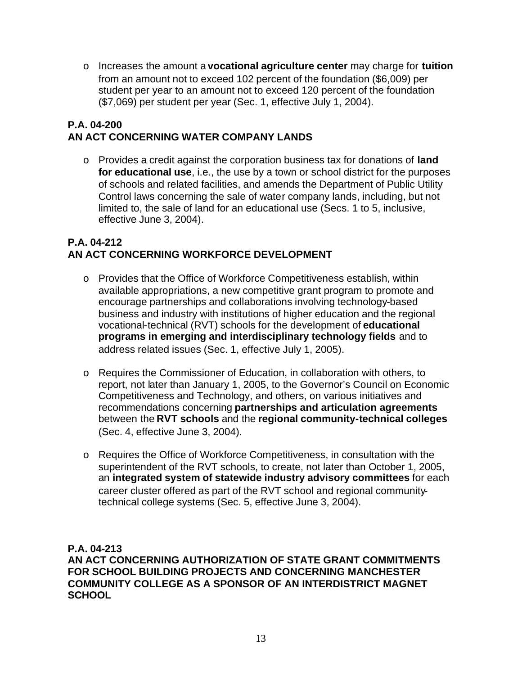o Increases the amount a **vocational agriculture center** may charge for **tuition**  from an amount not to exceed 102 percent of the foundation (\$6,009) per student per year to an amount not to exceed 120 percent of the foundation (\$7,069) per student per year (Sec. 1, effective July 1, 2004).

# **P.A. 04-200 AN ACT CONCERNING WATER COMPANY LANDS**

o Provides a credit against the corporation business tax for donations of **land for educational use**, i.e., the use by a town or school district for the purposes of schools and related facilities, and amends the Department of Public Utility Control laws concerning the sale of water company lands, including, but not limited to, the sale of land for an educational use (Secs. 1 to 5, inclusive, effective June 3, 2004).

# **P.A. 04-212 AN ACT CONCERNING WORKFORCE DEVELOPMENT**

- o Provides that the Office of Workforce Competitiveness establish, within available appropriations, a new competitive grant program to promote and encourage partnerships and collaborations involving technology-based business and industry with institutions of higher education and the regional vocational-technical (RVT) schools for the development of **educational programs in emerging and interdisciplinary technology fields** and to address related issues (Sec. 1, effective July 1, 2005).
- o Requires the Commissioner of Education, in collaboration with others, to report, not later than January 1, 2005, to the Governor's Council on Economic Competitiveness and Technology, and others, on various initiatives and recommendations concerning **partnerships and articulation agreements**  between the **RVT schools** and the **regional community-technical colleges**  (Sec. 4, effective June 3, 2004).
- o Requires the Office of Workforce Competitiveness, in consultation with the superintendent of the RVT schools, to create, not later than October 1, 2005, an **integrated system of statewide industry advisory committees** for each career cluster offered as part of the RVT school and regional communitytechnical college systems (Sec. 5, effective June 3, 2004).

**P.A. 04-213 AN ACT CONCERNING AUTHORIZATION OF STATE GRANT COMMITMENTS FOR SCHOOL BUILDING PROJECTS AND CONCERNING MANCHESTER COMMUNITY COLLEGE AS A SPONSOR OF AN INTERDISTRICT MAGNET SCHOOL**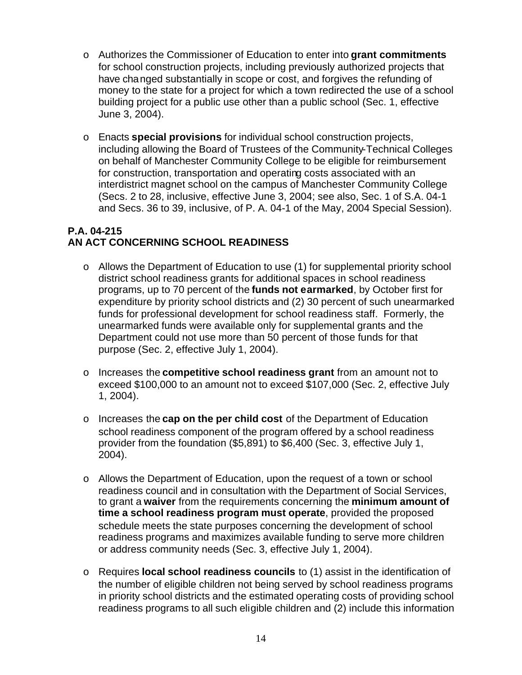- o Authorizes the Commissioner of Education to enter into **grant commitments**  for school construction projects, including previously authorized projects that have changed substantially in scope or cost, and forgives the refunding of money to the state for a project for which a town redirected the use of a school building project for a public use other than a public school (Sec. 1, effective June 3, 2004).
- o Enacts **special provisions** for individual school construction projects, including allowing the Board of Trustees of the Community-Technical Colleges on behalf of Manchester Community College to be eligible for reimbursement for construction, transportation and operating costs associated with an interdistrict magnet school on the campus of Manchester Community College (Secs. 2 to 28, inclusive, effective June 3, 2004; see also, Sec. 1 of S.A. 04-1 and Secs. 36 to 39, inclusive, of P. A. 04-1 of the May, 2004 Special Session).

### **P.A. 04-215 AN ACT CONCERNING SCHOOL READINESS**

- o Allows the Department of Education to use (1) for supplemental priority school district school readiness grants for additional spaces in school readiness programs, up to 70 percent of the **funds not earmarked**, by October first for expenditure by priority school districts and (2) 30 percent of such unearmarked funds for professional development for school readiness staff. Formerly, the unearmarked funds were available only for supplemental grants and the Department could not use more than 50 percent of those funds for that purpose (Sec. 2, effective July 1, 2004).
- o Increases the **competitive school readiness grant** from an amount not to exceed \$100,000 to an amount not to exceed \$107,000 (Sec. 2, effective July 1, 2004).
- o Increases the **cap on the per child cost** of the Department of Education school readiness component of the program offered by a school readiness provider from the foundation (\$5,891) to \$6,400 (Sec. 3, effective July 1, 2004).
- o Allows the Department of Education, upon the request of a town or school readiness council and in consultation with the Department of Social Services, to grant a **waiver** from the requirements concerning the **minimum amount of time a school readiness program must operate**, provided the proposed schedule meets the state purposes concerning the development of school readiness programs and maximizes available funding to serve more children or address community needs (Sec. 3, effective July 1, 2004).
- o Requires **local school readiness councils** to (1) assist in the identification of the number of eligible children not being served by school readiness programs in priority school districts and the estimated operating costs of providing school readiness programs to all such eligible children and (2) include this information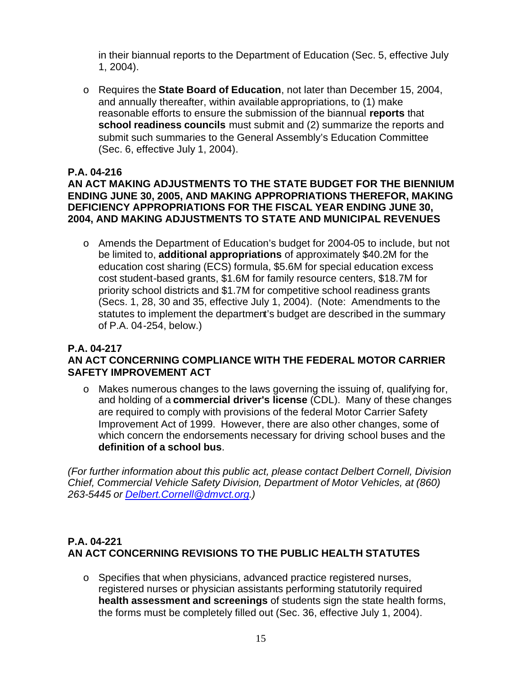in their biannual reports to the Department of Education (Sec. 5, effective July 1, 2004).

o Requires the **State Board of Education**, not later than December 15, 2004, and annually thereafter, within available appropriations, to (1) make reasonable efforts to ensure the submission of the biannual **reports** that **school readiness councils** must submit and (2) summarize the reports and submit such summaries to the General Assembly's Education Committee (Sec. 6, effective July 1, 2004).

#### **P.A. 04-216**

#### **AN ACT MAKING ADJUSTMENTS TO THE STATE BUDGET FOR THE BIENNIUM ENDING JUNE 30, 2005, AND MAKING APPROPRIATIONS THEREFOR, MAKING DEFICIENCY APPROPRIATIONS FOR THE FISCAL YEAR ENDING JUNE 30, 2004, AND MAKING ADJUSTMENTS TO STATE AND MUNICIPAL REVENUES**

o Amends the Department of Education's budget for 2004-05 to include, but not be limited to, **additional appropriations** of approximately \$40.2M for the education cost sharing (ECS) formula, \$5.6M for special education excess cost student-based grants, \$1.6M for family resource centers, \$18.7M for priority school districts and \$1.7M for competitive school readiness grants (Secs. 1, 28, 30 and 35, effective July 1, 2004). (Note: Amendments to the statutes to implement the department's budget are described in the summary of P.A. 04-254, below.)

#### **P.A. 04-217 AN ACT CONCERNING COMPLIANCE WITH THE FEDERAL MOTOR CARRIER SAFETY IMPROVEMENT ACT**

o Makes numerous changes to the laws governing the issuing of, qualifying for, and holding of a **commercial driver's license** (CDL). Many of these changes are required to comply with provisions of the federal Motor Carrier Safety Improvement Act of 1999. However, there are also other changes, some of which concern the endorsements necessary for driving school buses and the **definition of a school bus**.

*(For further information about this public act, please contact Delbert Cornell, Division Chief, Commercial Vehicle Safety Division, Department of Motor Vehicles, at (860) 263-5445 or Delbert.Cornell@dmvct.org.)* 

# **P.A. 04-221 AN ACT CONCERNING REVISIONS TO THE PUBLIC HEALTH STATUTES**

 $\circ$  Specifies that when physicians, advanced practice registered nurses, registered nurses or physician assistants performing statutorily required **health assessment and screenings** of students sign the state health forms, the forms must be completely filled out (Sec. 36, effective July 1, 2004).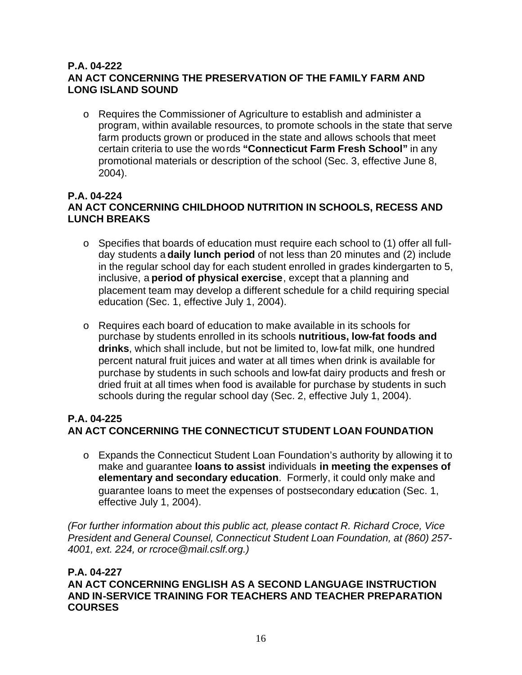#### **P.A. 04-222 AN ACT CONCERNING THE PRESERVATION OF THE FAMILY FARM AND LONG ISLAND SOUND**

o Requires the Commissioner of Agriculture to establish and administer a program, within available resources, to promote schools in the state that serve farm products grown or produced in the state and allows schools that meet certain criteria to use the words **"Connecticut Farm Fresh School"** in any promotional materials or description of the school (Sec. 3, effective June 8, 2004).

#### **P.A. 04-224 AN ACT CONCERNING CHILDHOOD NUTRITION IN SCHOOLS, RECESS AND LUNCH BREAKS**

- o Specifies that boards of education must require each school to (1) offer all fullday students a **daily lunch period** of not less than 20 minutes and (2) include in the regular school day for each student enrolled in grades kindergarten to 5, inclusive, a **period of physical exercise**, except that a planning and placement team may develop a different schedule for a child requiring special education (Sec. 1, effective July 1, 2004).
- o Requires each board of education to make available in its schools for purchase by students enrolled in its schools **nutritious, low-fat foods and drinks**, which shall include, but not be limited to, low-fat milk, one hundred percent natural fruit juices and water at all times when drink is available for purchase by students in such schools and low-fat dairy products and fresh or dried fruit at all times when food is available for purchase by students in such schools during the regular school day (Sec. 2, effective July 1, 2004).

#### **P.A. 04-225 AN ACT CONCERNING THE CONNECTICUT STUDENT LOAN FOUNDATION**

o Expands the Connecticut Student Loan Foundation's authority by allowing it to make and guarantee **loans to assist** individuals **in meeting the expenses of elementary and secondary education**. Formerly, it could only make and guarantee loans to meet the expenses of postsecondary education (Sec. 1, effective July 1, 2004).

*(For further information about this public act, please contact R. Richard Croce, Vice President and General Counsel, Connecticut Student Loan Foundation, at (860) 257- 4001, ext. 224, or rcroce@mail.cslf.org.)* 

# **P.A. 04-227**

**AN ACT CONCERNING ENGLISH AS A SECOND LANGUAGE INSTRUCTION AND IN-SERVICE TRAINING FOR TEACHERS AND TEACHER PREPARATION COURSES**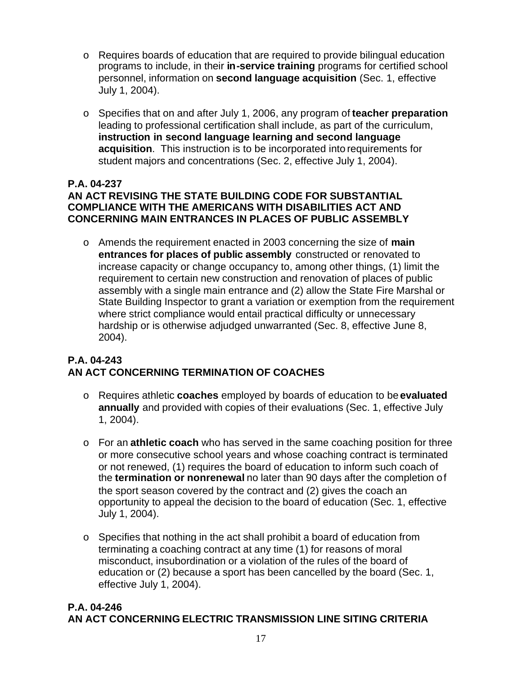- o Requires boards of education that are required to provide bilingual education programs to include, in their **in-service training** programs for certified school personnel, information on **second language acquisition** (Sec. 1, effective July 1, 2004).
- o Specifies that on and after July 1, 2006, any program of **teacher preparation**  leading to professional certification shall include, as part of the curriculum, **instruction in second language learning and second language acquisition**. This instruction is to be incorporated into requirements for student majors and concentrations (Sec. 2, effective July 1, 2004).

#### **P.A. 04-237 AN ACT REVISING THE STATE BUILDING CODE FOR SUBSTANTIAL COMPLIANCE WITH THE AMERICANS WITH DISABILITIES ACT AND CONCERNING MAIN ENTRANCES IN PLACES OF PUBLIC ASSEMBLY**

o Amends the requirement enacted in 2003 concerning the size of **main entrances for places of public assembly** constructed or renovated to increase capacity or change occupancy to, among other things, (1) limit the requirement to certain new construction and renovation of places of public assembly with a single main entrance and (2) allow the State Fire Marshal or State Building Inspector to grant a variation or exemption from the requirement where strict compliance would entail practical difficulty or unnecessary hardship or is otherwise adjudged unwarranted (Sec. 8, effective June 8, 2004).

# **P.A. 04-243 AN ACT CONCERNING TERMINATION OF COACHES**

- o Requires athletic **coaches** employed by boards of education to be **evaluated annually** and provided with copies of their evaluations (Sec. 1, effective July 1, 2004).
- o For an **athletic coach** who has served in the same coaching position for three or more consecutive school years and whose coaching contract is terminated or not renewed, (1) requires the board of education to inform such coach of the **termination or nonrenewal** no later than 90 days after the completion of the sport season covered by the contract and (2) gives the coach an opportunity to appeal the decision to the board of education (Sec. 1, effective July 1, 2004).
- o Specifies that nothing in the act shall prohibit a board of education from terminating a coaching contract at any time (1) for reasons of moral misconduct, insubordination or a violation of the rules of the board of education or (2) because a sport has been cancelled by the board (Sec. 1, effective July 1, 2004).

# **P.A. 04-246 AN ACT CONCERNING ELECTRIC TRANSMISSION LINE SITING CRITERIA**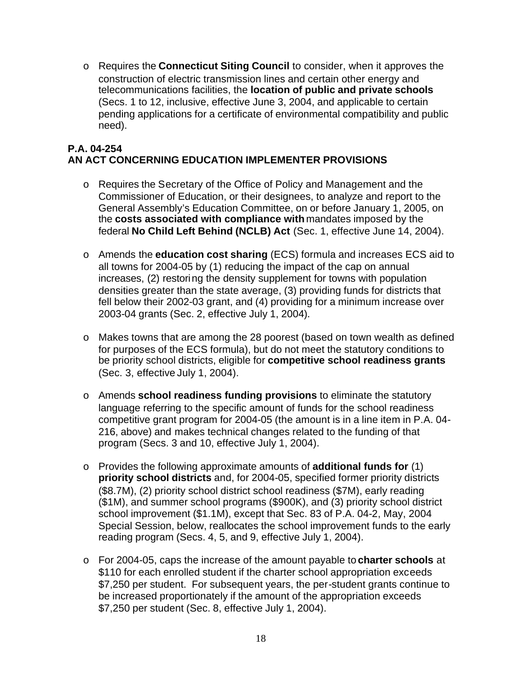o Requires the **Connecticut Siting Council** to consider, when it approves the construction of electric transmission lines and certain other energy and telecommunications facilities, the **location of public and private schools**  (Secs. 1 to 12, inclusive, effective June 3, 2004, and applicable to certain pending applications for a certificate of environmental compatibility and public need).

# **P.A. 04-254 AN ACT CONCERNING EDUCATION IMPLEMENTER PROVISIONS**

- o Requires the Secretary of the Office of Policy and Management and the Commissioner of Education, or their designees, to analyze and report to the General Assembly's Education Committee, on or before January 1, 2005, on the **costs associated with compliance with** mandates imposed by the federal **No Child Left Behind (NCLB) Act** (Sec. 1, effective June 14, 2004).
- o Amends the **education cost sharing** (ECS) formula and increases ECS aid to all towns for 2004-05 by (1) reducing the impact of the cap on annual increases, (2) restoring the density supplement for towns with population densities greater than the state average, (3) providing funds for districts that fell below their 2002-03 grant, and (4) providing for a minimum increase over 2003-04 grants (Sec. 2, effective July 1, 2004).
- o Makes towns that are among the 28 poorest (based on town wealth as defined for purposes of the ECS formula), but do not meet the statutory conditions to be priority school districts, eligible for **competitive school readiness grants**  (Sec. 3, effective July 1, 2004).
- o Amends **school readiness funding provisions** to eliminate the statutory language referring to the specific amount of funds for the school readiness competitive grant program for 2004-05 (the amount is in a line item in P.A. 04- 216, above) and makes technical changes related to the funding of that program (Secs. 3 and 10, effective July 1, 2004).
- o Provides the following approximate amounts of **additional funds for** (1) **priority school districts** and, for 2004-05, specified former priority districts (\$8.7M), (2) priority school district school readiness (\$7M), early reading (\$1M), and summer school programs (\$900K), and (3) priority school district school improvement (\$1.1M), except that Sec. 83 of P.A. 04-2, May, 2004 Special Session, below, reallocates the school improvement funds to the early reading program (Secs. 4, 5, and 9, effective July 1, 2004).
- o For 2004-05, caps the increase of the amount payable to **charter schools** at \$110 for each enrolled student if the charter school appropriation exceeds \$7,250 per student. For subsequent years, the per-student grants continue to be increased proportionately if the amount of the appropriation exceeds \$7,250 per student (Sec. 8, effective July 1, 2004).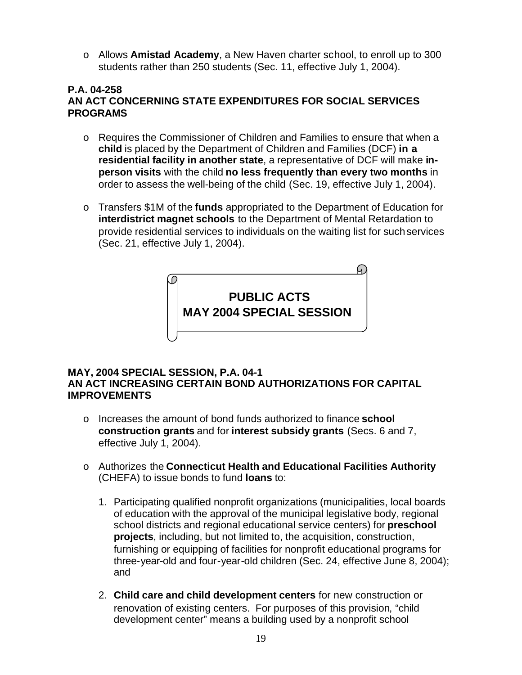o Allows **Amistad Academy**, a New Haven charter school, to enroll up to 300 students rather than 250 students (Sec. 11, effective July 1, 2004).

# **P.A. 04-258 AN ACT CONCERNING STATE EXPENDITURES FOR SOCIAL SERVICES PROGRAMS**

- o Requires the Commissioner of Children and Families to ensure that when a **child** is placed by the Department of Children and Families (DCF) **in a residential facility in another state**, a representative of DCF will make **inperson visits** with the child **no less frequently than every two months** in order to assess the well-being of the child (Sec. 19, effective July 1, 2004).
- o Transfers \$1M of the **funds** appropriated to the Department of Education for **interdistrict magnet schools** to the Department of Mental Retardation to provide residential services to individuals on the waiting list for such services (Sec. 21, effective July 1, 2004).



#### **MAY, 2004 SPECIAL SESSION, P.A. 04-1 AN ACT INCREASING CERTAIN BOND AUTHORIZATIONS FOR CAPITAL IMPROVEMENTS**

- o Increases the amount of bond funds authorized to finance **school construction grants** and for **interest subsidy grants** (Secs. 6 and 7, effective July 1, 2004).
- o Authorizes the **Connecticut Health and Educational Facilities Authority**  (CHEFA) to issue bonds to fund **loans** to:
	- 1. Participating qualified nonprofit organizations (municipalities, local boards of education with the approval of the municipal legislative body, regional school districts and regional educational service centers) for **preschool projects**, including, but not limited to, the acquisition, construction, furnishing or equipping of facilities for nonprofit educational programs for three-year-old and four-year-old children (Sec. 24, effective June 8, 2004); and
	- 2. **Child care and child development centers** for new construction or renovation of existing centers. For purposes of this provision, "child development center" means a building used by a nonprofit school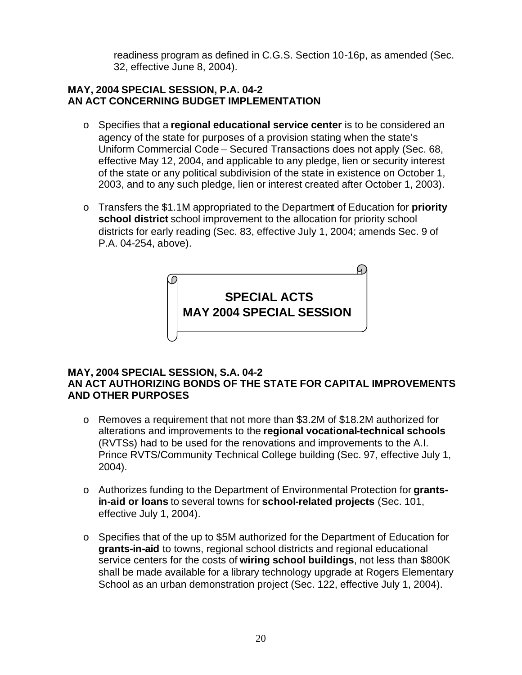readiness program as defined in C.G.S. Section 10-16p, as amended (Sec. 32, effective June 8, 2004).

#### **MAY, 2004 SPECIAL SESSION, P.A. 04-2 AN ACT CONCERNING BUDGET IMPLEMENTATION**

- o Specifies that a **regional educational service center** is to be considered an agency of the state for purposes of a provision stating when the state's Uniform Commercial Code – Secured Transactions does not apply (Sec. 68, effective May 12, 2004, and applicable to any pledge, lien or security interest of the state or any political subdivision of the state in existence on October 1, 2003, and to any such pledge, lien or interest created after October 1, 2003).
- o Transfers the \$1.1M appropriated to the Department of Education for **priority school district** school improvement to the allocation for priority school districts for early reading (Sec. 83, effective July 1, 2004; amends Sec. 9 of P.A. 04-254, above).



#### **MAY, 2004 SPECIAL SESSION, S.A. 04-2 AN ACT AUTHORIZING BONDS OF THE STATE FOR CAPITAL IMPROVEMENTS AND OTHER PURPOSES**

- o Removes a requirement that not more than \$3.2M of \$18.2M authorized for alterations and improvements to the **regional vocational-technical schools**  (RVTSs) had to be used for the renovations and improvements to the A.I. Prince RVTS/Community Technical College building (Sec. 97, effective July 1, 2004).
- o Authorizes funding to the Department of Environmental Protection for **grantsin-aid or loans** to several towns for **school-related projects** (Sec. 101, effective July 1, 2004).
- o Specifies that of the up to \$5M authorized for the Department of Education for **grants-in-aid** to towns, regional school districts and regional educational service centers for the costs of **wiring school buildings**, not less than \$800K shall be made available for a library technology upgrade at Rogers Elementary School as an urban demonstration project (Sec. 122, effective July 1, 2004).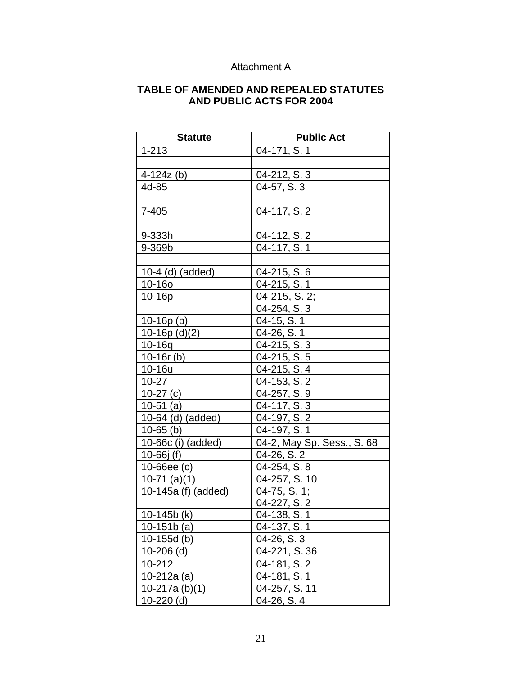### Attachment A

#### **TABLE OF AMENDED AND REPEALED STATUTES AND PUBLIC ACTS FOR 2004**

| <b>Statute</b>      | <b>Public Act</b>          |
|---------------------|----------------------------|
| $1 - 213$           | 04-171, S. 1               |
|                     |                            |
| $4-124z$ (b)        | 04-212, S. 3               |
| 4d-85               | 04-57, S. 3                |
|                     |                            |
| 7-405               | 04-117, S. 2               |
|                     |                            |
| 9-333h              | 04-112, S. 2               |
| 9-369b              | 04-117, S. 1               |
|                     |                            |
| $10-4$ (d) (added)  | 04-215, S. 6               |
| 10-16o              | 04-215, S. 1               |
| 10-16p              | 04-215, S. 2;              |
|                     | 04-254, S. 3               |
| $10-16p(b)$         | 04-15, S. 1                |
| $10-16p$ (d)(2)     | 04-26, S. 1                |
| $10 - 16q$          | 04-215, S. 3               |
| $10-16r$ (b)        | 04-215, S. 5               |
| 10-16u              | 04-215, S. 4               |
| $10-27$             | 04-153, S. 2               |
| $10-27(c)$          | 04-257, S. 9               |
| $10-51$ (a)         | 04-117, S. 3               |
| 10-64 (d) (added)   | 04-197, S. 2               |
| $10-65$ (b)         | 04-197, S. 1               |
| 10-66c (i) (added)  | 04-2, May Sp. Sess., S. 68 |
| 10-66 $j(f)$        | 04-26, S. 2                |
| $10 - 66$ ee $(c)$  | 04-254, S. 8               |
| $10-71$ (a)(1)      | 04-257, S. 10              |
| 10-145a (f) (added) | 04-75, S. 1;               |
|                     | 04-227, S. 2               |
| 10-145b (k)         | 04-138, S. 1               |
| $10-151b(a)$        | 04-137, S. 1               |
| $10-155d$ (b)       | 04-26, S. 3                |
| $10-206$ (d)        | 04-221, S. 36              |
| 10-212              | 04-181, S. 2               |
| $10-212a(a)$        | 04-181, S. 1               |
| 10-217a $(b)(1)$    | 04-257, S. 11              |
| $10-220$ (d)        | 04-26, S. 4                |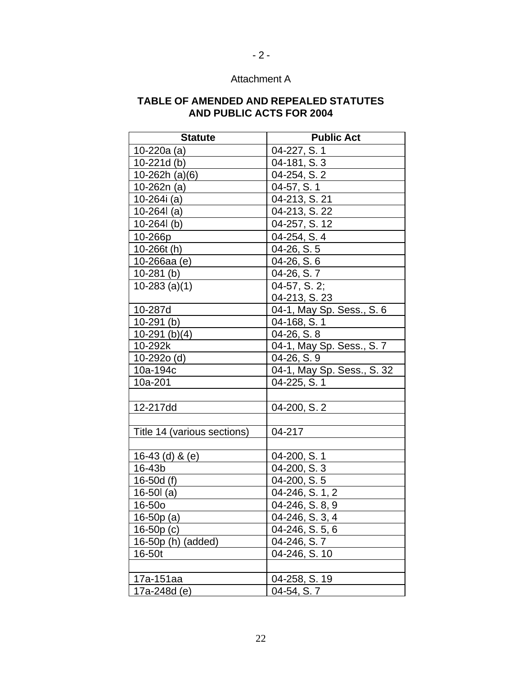### Attachment A

 $- 2 -$ 

#### **TABLE OF AMENDED AND REPEALED STATUTES AND PUBLIC ACTS FOR 2004**

| <b>Statute</b>              | <b>Public Act</b>          |
|-----------------------------|----------------------------|
| 10-220a (a)                 | 04-227, S. 1               |
| $10-221d(b)$                | 04-181, S. 3               |
| 10-262h $(a)(6)$            | 04-254, S. 2               |
| 10-262n (a)                 | 04-57, S. 1                |
| 10-264i (a)                 | 04-213, S. 21              |
| 10-264 $l$ (a)              | 04-213, S. 22              |
| $10 - 264$ (b)              | 04-257, S. 12              |
| 10-266p                     | 04-254, S. 4               |
| 10-266t (h)                 | 04-26, S. 5                |
| 10-266aa (e)                | 04-26, S. 6                |
| $10-281$ (b)                | 04-26, S. 7                |
| $10-283$ (a)(1)             | 04-57, S. 2;               |
|                             | 04-213, S. 23              |
| 10-287d                     | 04-1, May Sp. Sess., S. 6  |
| $10-291$ (b)                | 04-168, S. 1               |
| 10-291 (b) $(4)$            | 04-26, S. 8                |
| 10-292k                     | 04-1, May Sp. Sess., S. 7  |
| 10-292o (d)                 | 04-26, S. 9                |
| 10a-194c                    | 04-1, May Sp. Sess., S. 32 |
| 10a-201                     | 04-225, S. 1               |
|                             |                            |
| 12-217dd                    | 04-200, S.2                |
|                             |                            |
| Title 14 (various sections) | 04-217                     |
|                             |                            |
| 16-43 $(d)$ & $(e)$         | 04-200, S. 1               |
| 16-43b                      | 04-200, S. 3               |
| 16-50 $d(f)$                | 04-200, S. 5               |
| 16-50 $l$ (a)               | 04-246, S. 1, 2            |
| 16-50o                      | 04-246, S. 8, 9            |
| 16-50p (a)                  | 04-246, S. 3, 4            |
| $16-50p(c)$                 | 04-246, S. 5, 6            |
| 16-50p (h) (added)          | 04-246, S. 7               |
| 16-50t                      | 04-246, S. 10              |
|                             |                            |
| 17a-151aa                   | 04-258, S. 19              |
| 17a-248d (e)                | 04-54, S. 7                |